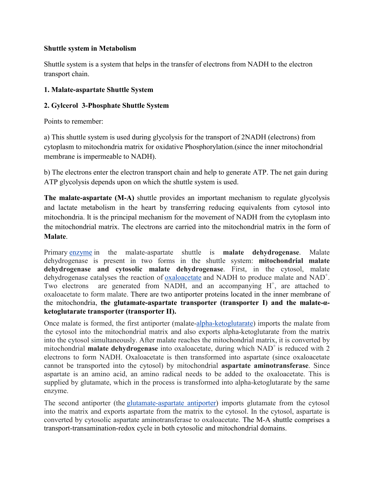# **Shuttle system in Metabolism**

Shuttle system is a system that helps in the transfer of electrons from NADH to the electron transport chain.

# **1. Malate-aspartate Shuttle System**

# **2. Gylcerol 3-Phosphate Shuttle System**

Points to remember:

a) This shuttle system is used during glycolysis for the transport of 2NADH (electrons) from cytoplasm to mitochondria matrix for oxidative Phosphorylation.(since the inner mitochondrial membrane is impermeable to NADH).

b) The electrons enter the electron transport chain and help to generate ATP. The net gain during ATP glycolysis depends upon on which the shuttle system is used.

**The malate-aspartate (M-A)** shuttle provides an important mechanism to regulate glycolysis and lactate metabolism in the heart by transferring reducing equivalents from cytosol into mitochondria. It is the principal mechanism for the movement of NADH from the cytoplasm into the mitochondrial matrix. The electrons are carried into the mitochondrial matrix in the form of **Malate**.

Primary enzyme in the malate-aspartate shuttle is **malate dehydrogenase**. Malate dehydrogenase is present in two forms in the shuttle system: **mitochondrial malate dehydrogenase and cytosolic malate dehydrogenase**. First, in the cytosol, malate dehydrogenase catalyses the reaction of **oxaloacetate** and NADH to produce malate and NAD<sup>+</sup>. Two electrons are generated from NADH, and an accompanying  $H^+$ , are attached to oxaloacetate to form malate. There are two antiporter proteins located in the inner membrane of the mitochondria, **the glutamate-aspartate transporter (transporter I) and the malate-αketoglutarate transporter (transporter II).**

Once malate is formed, the first antiporter (malate-alpha-ketoglutarate) imports the malate from the cytosol into the mitochondrial matrix and also exports alpha-ketoglutarate from the matrix into the cytosol simultaneously. After malate reaches the mitochondrial matrix, it is converted by mitochondrial **malate dehydrogenase** into oxaloacetate, during which NAD<sup>+</sup> is reduced with 2 electrons to form NADH. Oxaloacetate is then transformed into aspartate (since oxaloacetate cannot be transported into the cytosol) by mitochondrial **aspartate aminotransferase**. Since aspartate is an amino acid, an amino radical needs to be added to the oxaloacetate. This is supplied by glutamate, which in the process is transformed into alpha-ketoglutarate by the same enzyme.

The second antiporter (the glutamate-aspartate antiporter) imports glutamate from the cytosol into the matrix and exports aspartate from the matrix to the cytosol. In the cytosol, aspartate is converted by cytosolic aspartate aminotransferase to oxaloacetate. The M-A shuttle comprises a transport-transamination-redox cycle in both cytosolic and mitochondrial domains.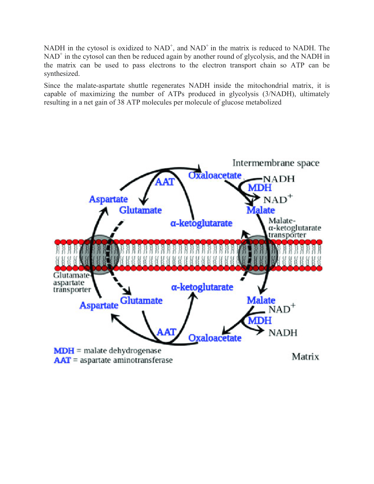NADH in the cytosol is oxidized to  $NAD^+$ , and  $NAD^+$  in the matrix is reduced to NADH. The NAD<sup>+</sup> in the cytosol can then be reduced again by another round of glycolysis, and the NADH in the matrix can be used to pass electrons to the electron transport chain so ATP can be synthesized.

Since the malate-aspartate shuttle regenerates NADH inside the mitochondrial matrix, it is capable of maximizing the number of ATPs produced in glycolysis (3/NADH), ultimately resulting in a net gain of 38 ATP molecules per molecule of glucose metabolized